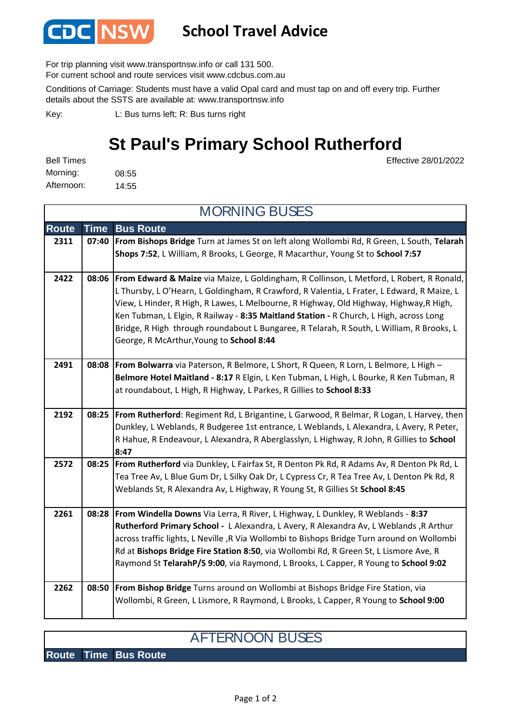

## **School Travel Advice**

For trip planning visit www.transportnsw.info or call 131 500.

For current school and route services visit www.cdcbus.com.au

Conditions of Carriage: Students must have a valid Opal card and must tap on and off every trip. Further details about the SSTS are available at: www.transportnsw.info

L: Bus turns left; R: Bus turns right Key:

## **St Paul's Primary School Rutherford**

Effective 28/01/2022

08:55 14:55 Afternoon: Bell Times Morning:

**Route Time Bus Route 2311 07:40 From Bishops Bridge** Turn at James St on left along Wollombi Rd, R Green, L South, **Telarah Shops 7:52**, L William, R Brooks, L George, R Macarthur, Young St to **School 7:57 2422 08:06 From Edward & Maize** via Maize, L Goldingham, R Collinson, L Metford, L Robert, R Ronald, L Thursby, L O'Hearn, L Goldingham, R Crawford, R Valentia, L Frater, L Edward, R Maize, L View, L Hinder, R High, R Lawes, L Melbourne, R Highway, Old Highway, Highway,R High, Ken Tubman, L Elgin, R Railway - **8:35 Maitland Station -** R Church, L High, across Long Bridge, R High through roundabout L Bungaree, R Telarah, R South, L William, R Brooks, L George, R McArthur,Young to **School 8:44 2491 08:08 From Bolwarra** via Paterson, R Belmore, L Short, R Queen, R Lorn, L Belmore, L High – **Belmore Hotel Maitland - 8:17** R Elgin, L Ken Tubman, L High, L Bourke, R Ken Tubman, R at roundabout, L High, R Highway, L Parkes, R Gillies to **School 8:33 2192 08:25 From Rutherford**: Regiment Rd, L Brigantine, L Garwood, R Belmar, R Logan, L Harvey, then Dunkley, L Weblands, R Budgeree 1st entrance, L Weblands, L Alexandra, L Avery, R Peter, R Hahue, R Endeavour, L Alexandra, R Aberglasslyn, L Highway, R John, R Gillies to **School 8:47 2572 08:25 From Rutherford** via Dunkley, L Fairfax St, R Denton Pk Rd, R Adams Av, R Denton Pk Rd, L Tea Tree Av, L Blue Gum Dr, L Silky Oak Dr, L Cypress Cr, R Tea Tree Av, L Denton Pk Rd, R Weblands St, R Alexandra Av, L Highway, R Young St, R Gillies St **School 8:45 2261 08:28 From Windella Downs** Via Lerra, R River, L Highway, L Dunkley, R Weblands - **8:37 Rutherford Primary School -** L Alexandra, L Avery, R Alexandra Av, L Weblands ,R Arthur across traffic lights, L Neville ,R Via Wollombi to Bishops Bridge Turn around on Wollombi Rd at **Bishops Bridge Fire Station 8:50**, via Wollombi Rd, R Green St, L Lismore Ave, R Raymond St **TelarahP/S 9:00**, via Raymond, L Brooks, L Capper, R Young to **School 9:02 2262 08:50 From Bishop Bridge** Turns around on Wollombi at Bishops Bridge Fire Station, via Wollombi, R Green, L Lismore, R Raymond, L Brooks, L Capper, R Young to **School 9:00**  MORNING BUSES

## AFTERNOON BUSES

**Route Time Bus Route**